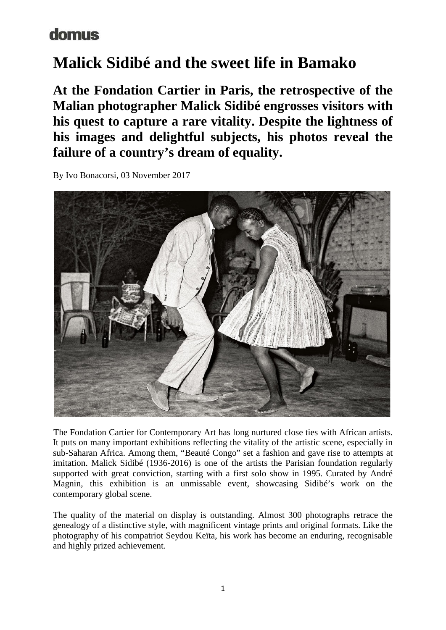### domus

# **Malick Sidibé and the sweet life in Bamako**

**At the Fondation Cartier in Paris, the retrospective of the Malian photographer Malick Sidibé engrosses visitors with his quest to capture a rare vitality. Despite the lightness of his images and delightful subjects, his photos reveal the failure of a country's dream of equality.** 

By Ivo Bonacorsi, 03 November 2017



The Fondation Cartier for Contemporary Art has long nurtured close ties with African artists. It puts on many important exhibitions reflecting the vitality of the artistic scene, especially in sub-Saharan Africa. Among them, "Beauté Congo" set a fashion and gave rise to attempts at imitation. Malick Sidibé (1936-2016) is one of the artists the Parisian foundation regularly supported with great conviction, starting with a first solo show in 1995. Curated by André Magnin, this exhibition is an unmissable event, showcasing Sidibé's work on the contemporary global scene.

The quality of the material on display is outstanding. Almost 300 photographs retrace the genealogy of a distinctive style, with magnificent vintage prints and original formats. Like the photography of his compatriot Seydou Keïta, his work has become an enduring, recognisable and highly prized achievement.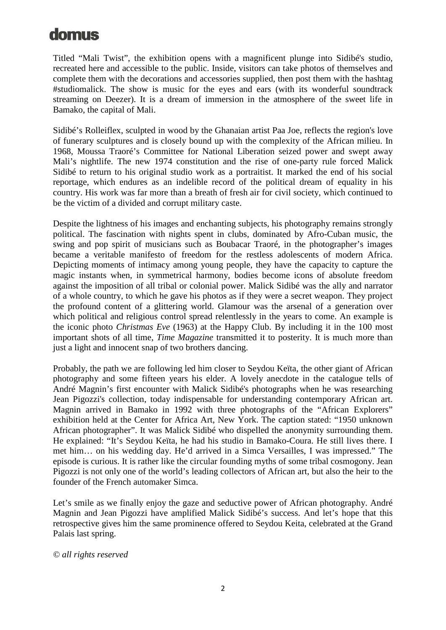### domus

Titled "Mali Twist", the exhibition opens with a magnificent plunge into Sidibé's studio, recreated here and accessible to the public. Inside, visitors can take photos of themselves and complete them with the decorations and accessories supplied, then post them with the hashtag #studiomalick. The show is music for the eyes and ears (with its wonderful soundtrack streaming on Deezer). It is a dream of immersion in the atmosphere of the sweet life in Bamako, the capital of Mali.

Sidibé's Rolleiflex, sculpted in wood by the Ghanaian artist Paa Joe, reflects the region's love of funerary sculptures and is closely bound up with the complexity of the African milieu. In 1968, Moussa Traoré's Committee for National Liberation seized power and swept away Mali's nightlife. The new 1974 constitution and the rise of one-party rule forced Malick Sidibé to return to his original studio work as a portraitist. It marked the end of his social reportage, which endures as an indelible record of the political dream of equality in his country. His work was far more than a breath of fresh air for civil society, which continued to be the victim of a divided and corrupt military caste.

Despite the lightness of his images and enchanting subjects, his photography remains strongly political. The fascination with nights spent in clubs, dominated by Afro-Cuban music, the swing and pop spirit of musicians such as Boubacar Traoré, in the photographer's images became a veritable manifesto of freedom for the restless adolescents of modern Africa. Depicting moments of intimacy among young people, they have the capacity to capture the magic instants when, in symmetrical harmony, bodies become icons of absolute freedom against the imposition of all tribal or colonial power. Malick Sidibé was the ally and narrator of a whole country, to which he gave his photos as if they were a secret weapon. They project the profound content of a glittering world. Glamour was the arsenal of a generation over which political and religious control spread relentlessly in the years to come. An example is the iconic photo *Christmas Eve* (1963) at the Happy Club. By including it in the 100 most important shots of all time, *Time Magazine* transmitted it to posterity. It is much more than just a light and innocent snap of two brothers dancing.

Probably, the path we are following led him closer to Seydou Keïta, the other giant of African photography and some fifteen years his elder. A lovely anecdote in the catalogue tells of André Magnin's first encounter with Malick Sidibé's photographs when he was researching Jean Pigozzi's collection, today indispensable for understanding contemporary African art. Magnin arrived in Bamako in 1992 with three photographs of the "African Explorers" exhibition held at the Center for Africa Art, New York. The caption stated: "1950 unknown African photographer". It was Malick Sidibé who dispelled the anonymity surrounding them. He explained: "It's Seydou Keïta, he had his studio in Bamako-Coura. He still lives there. I met him… on his wedding day. He'd arrived in a Simca Versailles, I was impressed." The episode is curious. It is rather like the circular founding myths of some tribal cosmogony. Jean Pigozzi is not only one of the world's leading collectors of African art, but also the heir to the founder of the French automaker Simca.

Let's smile as we finally enjoy the gaze and seductive power of African photography. André Magnin and Jean Pigozzi have amplified Malick Sidibé's success. And let's hope that this retrospective gives him the same prominence offered to Seydou Keita, celebrated at the Grand Palais last spring.

#### *© all rights reserved*